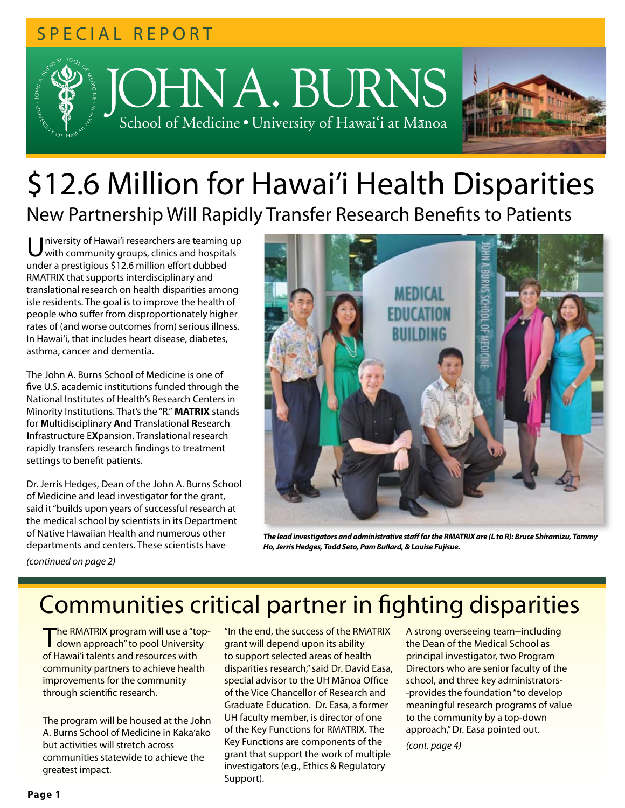### SPECIAL REPORT

# JOHNA.BURNS School of Medicine • University of Hawai'i at Mānoa



## \$12.6 Million for Hawai'i Health Disparities New Partnership Will Rapidly Transfer Research Benefits to Patients

Iniversity of Hawai'i researchers are teaming up with community groups, clinics and hospitals under a prestigious \$12.6 million effort dubbed RMATRIX that supports interdisciplinary and translational research on health disparities among isle residents. The goal is to improve the health of people who suffer from disproportionately higher rates of (and worse outcomes from) serious illness. In Hawai'i, that includes heart disease, diabetes, asthma, cancer and dementia.

The John A. Burns School of Medicine is one of five U.S. academic institutions funded through the National Institutes of Health's Research Centers in Minority Institutions. That's the "R." **MATRIX** stands for **M**ultidisciplinary **A**nd **T**ranslational **R**esearch **I**nfrastructure E**X**pansion. Translational research rapidly transfers research findings to treatment settings to benefit patients.

Dr. Jerris Hedges, Dean of the John A. Burns School of Medicine and lead investigator for the grant, said it "builds upon years of successful research at the medical school by scientists in its Department of Native Hawaiian Health and numerous other departments and centers. These scientists have



*The lead investigators and administrative staff for the RMATRIX are (L to R): Bruce Shiramizu, Tammy Ho, Jerris Hedges, Todd Seto, Pam Bullard, & Louise Fujisue.*

*(continued on page 2)*

## Communities critical partner in fighting disparities

The RMATRIX program will use a "top-down approach" to pool University of Hawai'i talents and resources with community partners to achieve health improvements for the community through scientific research.

The program will be housed at the John A. Burns School of Medicine in Kaka'ako but activities will stretch across communities statewide to achieve the greatest impact.

"In the end, the success of the RMATRIX grant will depend upon its ability to support selected areas of health disparities research," said Dr. David Easa, special advisor to the UH Mānoa Office of the Vice Chancellor of Research and Graduate Education. Dr. Easa, a former UH faculty member, is director of one of the Key Functions for RMATRIX. The Key Functions are components of the grant that support the work of multiple investigators (e.g., Ethics & Regulatory Support).

A strong overseeing team--including the Dean of the Medical School as principal investigator, two Program Directors who are senior faculty of the school, and three key administrators- -provides the foundation "to develop meaningful research programs of value to the community by a top-down approach," Dr. Easa pointed out.

*(cont. page 4)*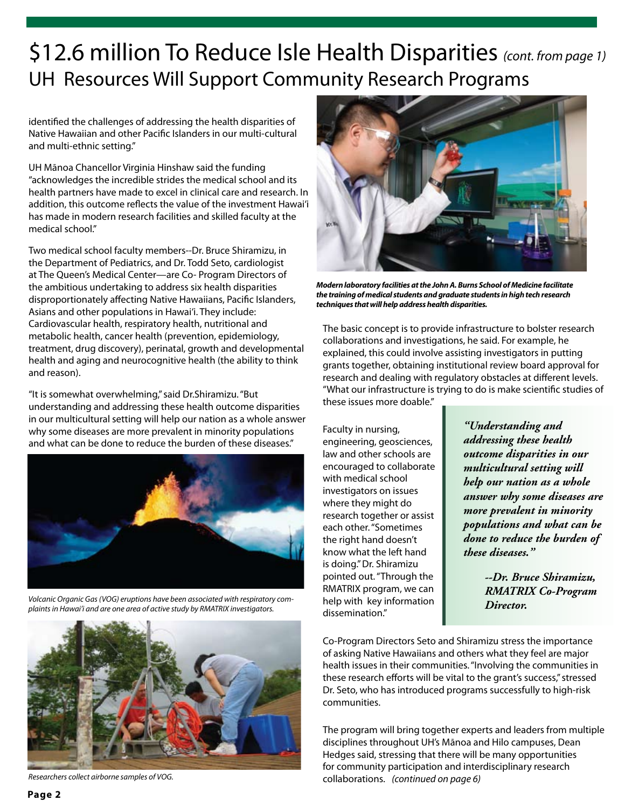### \$12.6 million To Reduce Isle Health Disparities (cont. from page 1) UH Resources Will Support Community Research Programs

identified the challenges of addressing the health disparities of Native Hawaiian and other Pacific Islanders in our multi-cultural and multi-ethnic setting."

UH Mānoa Chancellor Virginia Hinshaw said the funding "acknowledges the incredible strides the medical school and its health partners have made to excel in clinical care and research. In addition, this outcome reflects the value of the investment Hawai'i has made in modern research facilities and skilled faculty at the medical school."

Two medical school faculty members--Dr. Bruce Shiramizu, in the Department of Pediatrics, and Dr. Todd Seto, cardiologist at The Queen's Medical Center—are Co- Program Directors of the ambitious undertaking to address six health disparities disproportionately affecting Native Hawaiians, Pacific Islanders, Asians and other populations in Hawai'i. They include: Cardiovascular health, respiratory health, nutritional and metabolic health, cancer health (prevention, epidemiology, treatment, drug discovery), perinatal, growth and developmental health and aging and neurocognitive health (the ability to think and reason).

"It is somewhat overwhelming," said Dr.Shiramizu. "But understanding and addressing these health outcome disparities in our multicultural setting will help our nation as a whole answer why some diseases are more prevalent in minority populations and what can be done to reduce the burden of these diseases."



Volcanic Organic Gas (VOG) eruptions have been associated with respiratory com-<br>
plaints in Haugi's and are age as of ective study by PMATRIX investigators.<br> **Director.** *plaints in Hawai'i and are one area of active study by RMATRIX investigators.*



*Researchers collect airborne samples of VOG.* 



*Modern laboratory facilities at the John A. Burns School of Medicine facilitate the training of medical students and graduate students in high tech research techniques that will help address health disparities.*

The basic concept is to provide infrastructure to bolster research collaborations and investigations, he said. For example, he explained, this could involve assisting investigators in putting grants together, obtaining institutional review board approval for research and dealing with regulatory obstacles at different levels. "What our infrastructure is trying to do is make scientific studies of these issues more doable."

Faculty in nursing, engineering, geosciences, law and other schools are encouraged to collaborate with medical school investigators on issues where they might do research together or assist each other. "Sometimes the right hand doesn't know what the left hand is doing." Dr. Shiramizu pointed out. "Through the RMATRIX program, we can help with key information dissemination."

*"Understanding and addressing these health outcome disparities in our multicultural setting will help our nation as a whole answer why some diseases are more prevalent in minority populations and what can be done to reduce the burden of these diseases."* 

> *--Dr. Bruce Shiramizu, RMATRIX Co-Program*

Co-Program Directors Seto and Shiramizu stress the importance of asking Native Hawaiians and others what they feel are major health issues in their communities. "Involving the communities in these research efforts will be vital to the grant's success," stressed Dr. Seto, who has introduced programs successfully to high-risk communities.

The program will bring together experts and leaders from multiple disciplines throughout UH's Mānoa and Hilo campuses, Dean Hedges said, stressing that there will be many opportunities for community participation and interdisciplinary research collaborations. *(continued on page 6)*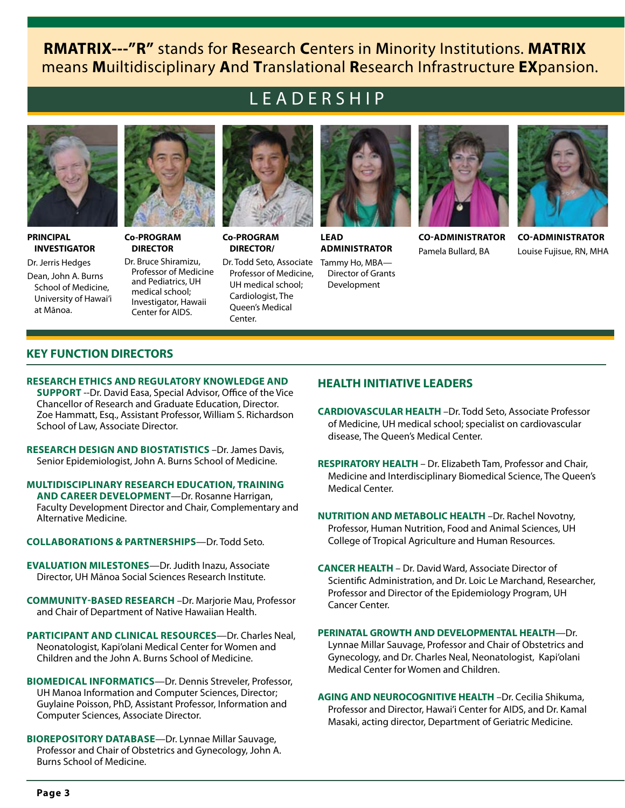**RMATRIX---"R"** stands for **R**esearch **C**enters in **M**inority Institutions. **MATRIX**  means **M**uiltidisciplinary **A**nd **T**ranslational **R**esearch Infrastructure **EX**pansion.

### LEADERSHIP



**PRINCIPAL INVESTIGATOR** Dr. Jerris Hedges

Dean, John A. Burns School of Medicine, University of Hawai'i at Mānoa.



**Co-PROGRAM DIRECTOR**

Dr. Bruce Shiramizu, Professor of Medicine and Pediatrics, UH medical school; Investigator, Hawaii Center for AIDS.



**Co-PROGRAM DIRECTOR/**

Dr. Todd Seto, Associate Tammy Ho, MBA— Professor of Medicine, UH medical school; Cardiologist, The Queen's Medical Center.



**Lead Administrator** Director of Grants Development



**Co-Administrator** Pamela Bullard, BA



**Co-Administrator** Louise Fujisue, RN, MHA

### **KEY FUNCTION DIRECTORS**

**Research Ethics and Regulatory Knowledge and**

**SUPPORT** --Dr. David Easa, Special Advisor, Office of the Vice Chancellor of Research and Graduate Education, Director. Zoe Hammatt, Esq., Assistant Professor, William S. Richardson School of Law, Associate Director.

**Research Design and Biostatistics** –Dr. James Davis, Senior Epidemiologist, John A. Burns School of Medicine.

**Multidisciplinary Research Education, Training and Career Development**—Dr. Rosanne Harrigan, Faculty Development Director and Chair, Complementary and Alternative Medicine.

**Collaborations & Partnerships**—Dr. Todd Seto.

**Evaluation Milestones**—Dr. Judith Inazu, Associate Director, UH Mānoa Social Sciences Research Institute.

**Community-Based Research** –Dr. Marjorie Mau, Professor and Chair of Department of Native Hawaiian Health.

**Participant and Clinical Resources**—Dr. Charles Neal, Neonatologist, Kapi'olani Medical Center for Women and Children and the John A. Burns School of Medicine.

**Biomedical Informatics**—Dr. Dennis Streveler, Professor, UH Manoa Information and Computer Sciences, Director; Guylaine Poisson, PhD, Assistant Professor, Information and Computer Sciences, Associate Director.

**BioRepository Database**—Dr. Lynnae Millar Sauvage, Professor and Chair of Obstetrics and Gynecology, John A. Burns School of Medicine.

#### **HEALTH INITIATIVE LEADERS**

- **CARDIOVASCULAR HEALTH** –Dr. Todd Seto, Associate Professor of Medicine, UH medical school; specialist on cardiovascular disease, The Queen's Medical Center.
- **RESPIRATORY HEALTH** Dr. Elizabeth Tam, Professor and Chair, Medicine and Interdisciplinary Biomedical Science, The Queen's Medical Center.

**NUTRITION AND METABOLIC HEALTH** –Dr. Rachel Novotny, Professor, Human Nutrition, Food and Animal Sciences, UH College of Tropical Agriculture and Human Resources.

**CANCER HEALTH** – Dr. David Ward, Associate Director of Scientific Administration, and Dr. Loic Le Marchand, Researcher, Professor and Director of the Epidemiology Program, UH Cancer Center.

**PERINATAL GROWTH AND DEVELOPMENTAL HEALTH**—Dr. Lynnae Millar Sauvage, Professor and Chair of Obstetrics and Gynecology, and Dr. Charles Neal, Neonatologist, Kapi'olani Medical Center for Women and Children.

**AGING AND NEUROCOGNITIVE HEALTH** –Dr. Cecilia Shikuma, Professor and Director, Hawai'i Center for AIDS, and Dr. Kamal Masaki, acting director, Department of Geriatric Medicine.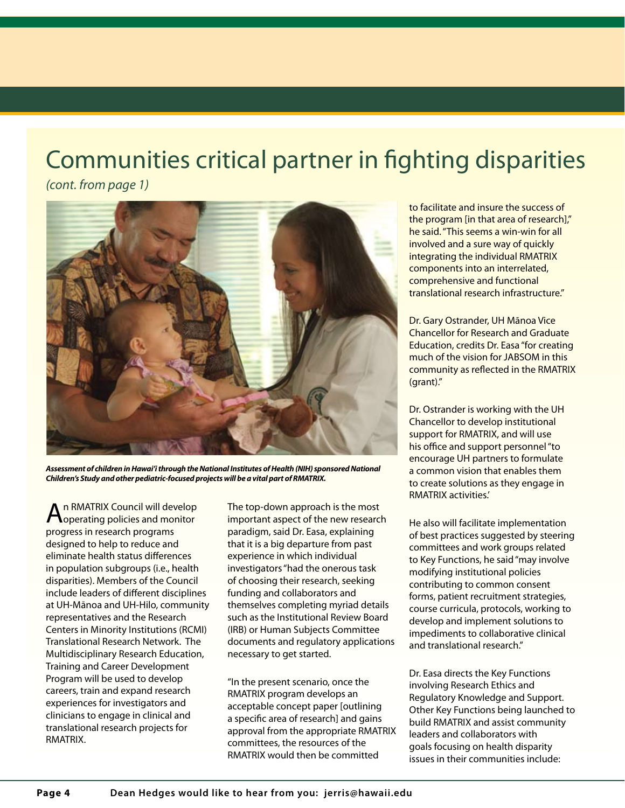## Communities critical partner in fighting disparities

*(cont. from page 1)*



*Assessment of children in Hawai'i through the National Institutes of Health (NIH) sponsored National Children's Study and other pediatric-focused projects will be a vital part of RMATRIX.*

An RMATRIX Council will develop<br>Aoperating policies and monitor progress in research programs designed to help to reduce and eliminate health status differences in population subgroups (i.e., health disparities). Members of the Council include leaders of different disciplines at UH-Mānoa and UH-Hilo, community representatives and the Research Centers in Minority Institutions (RCMI) Translational Research Network. The Multidisciplinary Research Education, Training and Career Development Program will be used to develop careers, train and expand research experiences for investigators and clinicians to engage in clinical and translational research projects for RMATRIX.

The top-down approach is the most important aspect of the new research paradigm, said Dr. Easa, explaining that it is a big departure from past experience in which individual investigators "had the onerous task of choosing their research, seeking funding and collaborators and themselves completing myriad details such as the Institutional Review Board (IRB) or Human Subjects Committee documents and regulatory applications necessary to get started.

"In the present scenario, once the RMATRIX program develops an acceptable concept paper [outlining a specific area of research] and gains approval from the appropriate RMATRIX committees, the resources of the RMATRIX would then be committed

to facilitate and insure the success of the program [in that area of research]," he said. "This seems a win-win for all involved and a sure way of quickly integrating the individual RMATRIX components into an interrelated, comprehensive and functional translational research infrastructure."

Dr. Gary Ostrander, UH Mānoa Vice Chancellor for Research and Graduate Education, credits Dr. Easa "for creating much of the vision for JABSOM in this community as reflected in the RMATRIX (grant)."

Dr. Ostrander is working with the UH Chancellor to develop institutional support for RMATRIX, and will use his office and support personnel "to encourage UH partners to formulate a common vision that enables them to create solutions as they engage in RMATRIX activities.'

He also will facilitate implementation of best practices suggested by steering committees and work groups related to Key Functions, he said "may involve modifying institutional policies contributing to common consent forms, patient recruitment strategies, course curricula, protocols, working to develop and implement solutions to impediments to collaborative clinical and translational research."

Dr. Easa directs the Key Functions involving Research Ethics and Regulatory Knowledge and Support. Other Key Functions being launched to build RMATRIX and assist community leaders and collaborators with goals focusing on health disparity issues in their communities include: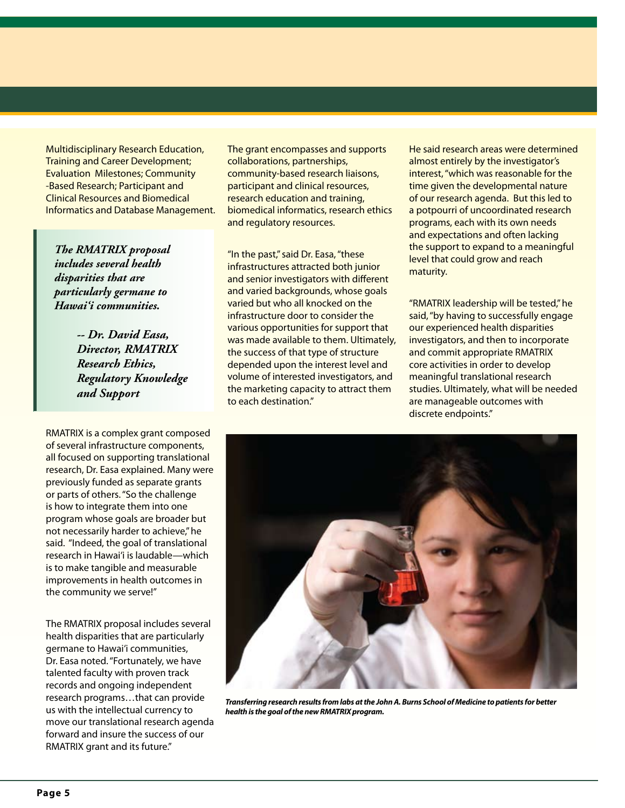Multidisciplinary Research Education, Training and Career Development; Evaluation Milestones; Community -Based Research; Participant and Clinical Resources and Biomedical Informatics and Database Management.

*The RMATRIX proposal includes several health disparities that are particularly germane to Hawai'i communities.*

> *-- Dr. David Easa, Director, RMATRIX Research Ethics, Regulatory Knowledge and Support*

RMATRIX is a complex grant composed of several infrastructure components, all focused on supporting translational research, Dr. Easa explained. Many were previously funded as separate grants or parts of others. "So the challenge is how to integrate them into one program whose goals are broader but not necessarily harder to achieve," he said. "Indeed, the goal of translational research in Hawai'i is laudable—which is to make tangible and measurable improvements in health outcomes in the community we serve!"

The RMATRIX proposal includes several health disparities that are particularly germane to Hawai'i communities, Dr. Easa noted. "Fortunately, we have talented faculty with proven track records and ongoing independent research programs…that can provide us with the intellectual currency to move our translational research agenda forward and insure the success of our RMATRIX grant and its future."

The grant encompasses and supports collaborations, partnerships, community-based research liaisons, participant and clinical resources, research education and training, biomedical informatics, research ethics and regulatory resources.

"In the past," said Dr. Easa, "these infrastructures attracted both junior and senior investigators with different and varied backgrounds, whose goals varied but who all knocked on the infrastructure door to consider the various opportunities for support that was made available to them. Ultimately, the success of that type of structure depended upon the interest level and volume of interested investigators, and the marketing capacity to attract them to each destination."

He said research areas were determined almost entirely by the investigator's interest, "which was reasonable for the time given the developmental nature of our research agenda. But this led to a potpourri of uncoordinated research programs, each with its own needs and expectations and often lacking the support to expand to a meaningful level that could grow and reach maturity.

"RMATRIX leadership will be tested," he said, "by having to successfully engage our experienced health disparities investigators, and then to incorporate and commit appropriate RMATRIX core activities in order to develop meaningful translational research studies. Ultimately, what will be needed are manageable outcomes with discrete endpoints."



*Transferring research results from labs at the John A. Burns School of Medicine to patients for better health is the goal of the new RMATRIX program.*